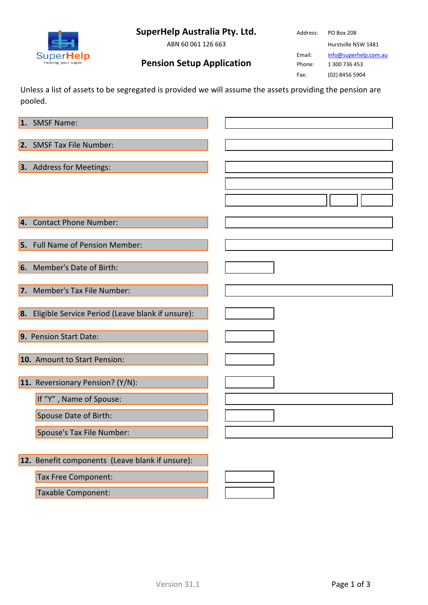# **SuperHelp Australia Pty. Ltd.**

ABN 60 061 126 663

SuperHel elp Address: PO Box 208 Hurstville NSW 1481

Email: [info@superhelp.com.au](mailto:info@superhelp.com.au)

Phone: 1 300 736 453 Fax: (02) 8456 5904

**Pension Setup Application**

Unless a list of assets to be segregated is provided we will assume the assets providing the pension are pooled.

| 1. SMSF Name:                                       |  |
|-----------------------------------------------------|--|
| 2. SMSF Tax File Number:                            |  |
| 3. Address for Meetings:                            |  |
|                                                     |  |
|                                                     |  |
|                                                     |  |
| 4. Contact Phone Number:                            |  |
| 5. Full Name of Pension Member:                     |  |
| 6. Member's Date of Birth:                          |  |
| 7. Member's Tax File Number:                        |  |
| 8. Eligible Service Period (Leave blank if unsure): |  |
| 9. Pension Start Date:                              |  |
| 10. Amount to Start Pension:                        |  |
| 11. Reversionary Pension? (Y/N):                    |  |
| If "Y", Name of Spouse:                             |  |
| Spouse Date of Birth:                               |  |
| Spouse's Tax File Number:                           |  |
|                                                     |  |
| 12. Benefit components (Leave blank if unsure):     |  |
| Tax Free Component:                                 |  |
| Taxable Component:                                  |  |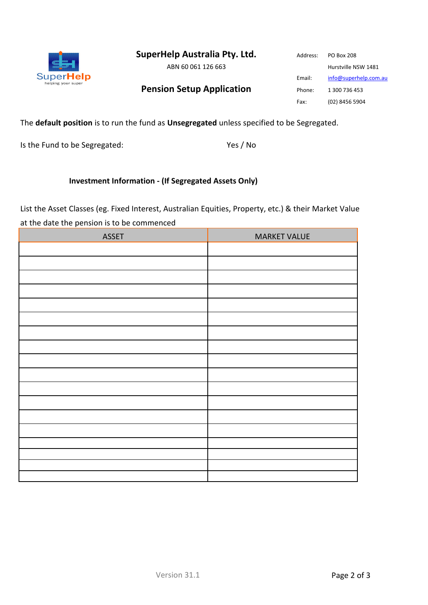**SuperHelp Australia Pty. Ltd.**

ABN 60 061 126 663

### **Pension Setup Application**

Address: PO Box 208 Hurstville NSW 1481 Email: [info@superhelp.com.au](mailto:info@superhelp.com.au) Phone: 1 300 736 453 Fax: (02) 8456 5904

#### The **default position** is to run the fund as **Unsegregated** unless specified to be Segregated.

Is the Fund to be Segregated: Yes / No

SuperHelp helping your super

#### **Investment Information - (If Segregated Assets Only)**

List the Asset Classes (eg. Fixed Interest, Australian Equities, Property, etc.) & their Market Value at the date the pension is to be commenced

| <b>MARKET VALUE</b> |
|---------------------|
|                     |
|                     |
|                     |
|                     |
|                     |
|                     |
|                     |
|                     |
|                     |
|                     |
|                     |
|                     |
|                     |
|                     |
|                     |
|                     |
|                     |
|                     |